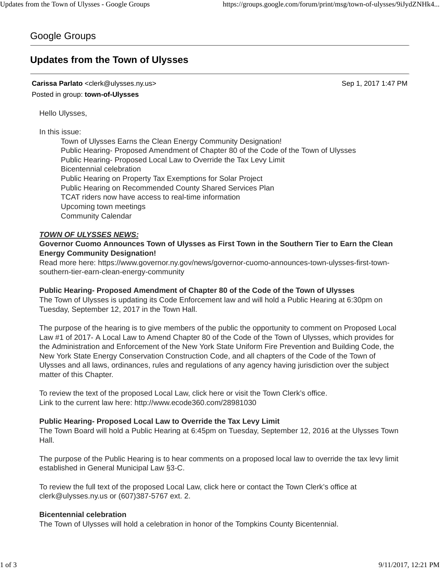# Google Groups

# **Updates from the Town of Ulysses**

### **Carissa Parlato** <clerk@ulysses.ny.us> Sep 1, 2017 1:47 PM Posted in group: **town-of-Ulysses**

Hello Ulysses,

### In this issue:

Town of Ulysses Earns the Clean Energy Community Designation! Public Hearing- Proposed Amendment of Chapter 80 of the Code of the Town of Ulysses Public Hearing- Proposed Local Law to Override the Tax Levy Limit Bicentennial celebration Public Hearing on Property Tax Exemptions for Solar Project Public Hearing on Recommended County Shared Services Plan TCAT riders now have access to real-time information Upcoming town meetings Community Calendar

### *TOWN OF ULYSSES NEWS:*

#### **Governor Cuomo Announces Town of Ulysses as First Town in the Southern Tier to Earn the Clean Energy Community Designation!**

Read more here: https://www.governor.ny.gov/news/governor-cuomo-announces-town-ulysses-first-townsouthern-tier-earn-clean-energy-community

#### **Public Hearing- Proposed Amendment of Chapter 80 of the Code of the Town of Ulysses**

The Town of Ulysses is updating its Code Enforcement law and will hold a Public Hearing at 6:30pm on Tuesday, September 12, 2017 in the Town Hall.

The purpose of the hearing is to give members of the public the opportunity to comment on Proposed Local Law #1 of 2017- A Local Law to Amend Chapter 80 of the Code of the Town of Ulysses, which provides for the Administration and Enforcement of the New York State Uniform Fire Prevention and Building Code, the New York State Energy Conservation Construction Code, and all chapters of the Code of the Town of Ulysses and all laws, ordinances, rules and regulations of any agency having jurisdiction over the subject matter of this Chapter.

To review the text of the proposed Local Law, click here or visit the Town Clerk's office. Link to the current law here: http://www.ecode360.com/28981030

#### **Public Hearing- Proposed Local Law to Override the Tax Levy Limit**

The Town Board will hold a Public Hearing at 6:45pm on Tuesday, September 12, 2016 at the Ulysses Town Hall.

The purpose of the Public Hearing is to hear comments on a proposed local law to override the tax levy limit established in General Municipal Law §3-C.

To review the full text of the proposed Local Law, click here or contact the Town Clerk's office at clerk@ulysses.ny.us or (607)387-5767 ext. 2.

#### **Bicentennial celebration**

The Town of Ulysses will hold a celebration in honor of the Tompkins County Bicentennial.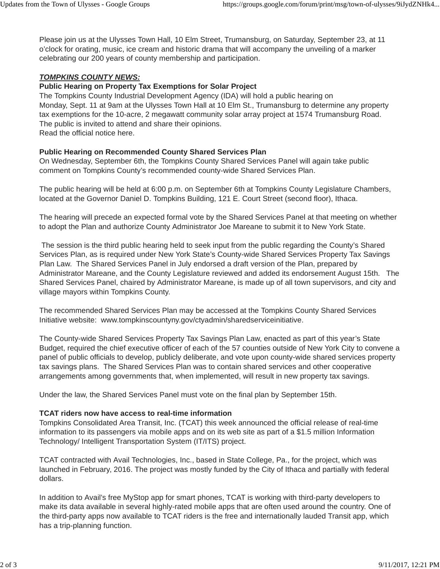Please join us at the Ulysses Town Hall, 10 Elm Street, Trumansburg, on Saturday, September 23, at 11 o'clock for orating, music, ice cream and historic drama that will accompany the unveiling of a marker celebrating our 200 years of county membership and participation.

# *TOMPKINS COUNTY NEWS:*

## **Public Hearing on Property Tax Exemptions for Solar Project**

The Tompkins County Industrial Development Agency (IDA) will hold a public hearing on Monday, Sept. 11 at 9am at the Ulysses Town Hall at 10 Elm St., Trumansburg to determine any property tax exemptions for the 10-acre, 2 megawatt community solar array project at 1574 Trumansburg Road. The public is invited to attend and share their opinions. Read the official notice here.

# **Public Hearing on Recommended County Shared Services Plan**

On Wednesday, September 6th, the Tompkins County Shared Services Panel will again take public comment on Tompkins County's recommended county-wide Shared Services Plan.

The public hearing will be held at 6:00 p.m. on September 6th at Tompkins County Legislature Chambers, located at the Governor Daniel D. Tompkins Building, 121 E. Court Street (second floor), Ithaca.

The hearing will precede an expected formal vote by the Shared Services Panel at that meeting on whether to adopt the Plan and authorize County Administrator Joe Mareane to submit it to New York State.

The session is the third public hearing held to seek input from the public regarding the County's Shared Services Plan, as is required under New York State's County-wide Shared Services Property Tax Savings Plan Law. The Shared Services Panel in July endorsed a draft version of the Plan, prepared by Administrator Mareane, and the County Legislature reviewed and added its endorsement August 15th. The Shared Services Panel, chaired by Administrator Mareane, is made up of all town supervisors, and city and village mayors within Tompkins County.

The recommended Shared Services Plan may be accessed at the Tompkins County Shared Services Initiative website: www.tompkinscountyny.gov/ctyadmin/sharedserviceinitiative.

The County-wide Shared Services Property Tax Savings Plan Law, enacted as part of this year's State Budget, required the chief executive officer of each of the 57 counties outside of New York City to convene a panel of public officials to develop, publicly deliberate, and vote upon county-wide shared services property tax savings plans. The Shared Services Plan was to contain shared services and other cooperative arrangements among governments that, when implemented, will result in new property tax savings.

Under the law, the Shared Services Panel must vote on the final plan by September 15th.

### **TCAT riders now have access to real-time information**

Tompkins Consolidated Area Transit, Inc. (TCAT) this week announced the official release of real-time information to its passengers via mobile apps and on its web site as part of a \$1.5 million Information Technology/ Intelligent Transportation System (IT/ITS) project.

TCAT contracted with Avail Technologies, Inc., based in State College, Pa., for the project, which was launched in February, 2016. The project was mostly funded by the City of Ithaca and partially with federal dollars.

In addition to Avail's free MyStop app for smart phones, TCAT is working with third-party developers to make its data available in several highly-rated mobile apps that are often used around the country. One of the third-party apps now available to TCAT riders is the free and internationally lauded Transit app, which has a trip-planning function.